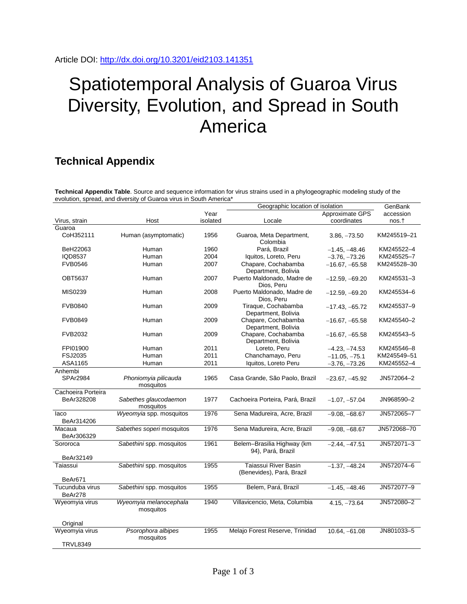## Spatiotemporal Analysis of Guaroa Virus Diversity, Evolution, and Spread in South America

## **Technical Appendix**

**Technical Appendix Table**. Source and sequence information for virus strains used in a phylogeographic modeling study of the evolution, spread, and diversity of Guaroa virus in South America\*

| Approximate GPS<br>Year<br>accession<br>Virus, strain<br>Host<br>isolated<br>Locale<br>coordinates<br>nos.t<br>Guaroa<br>CoH352111<br>Human (asymptomatic)<br>1956<br>Guaroa, Meta Department,<br>KM245519-21<br>$3.86, -73.50$<br>Colombia<br>Human<br>Pará, Brazil<br>BeH22063<br>1960<br>$-1.45, -48.46$<br>KM245522-4<br>IQD8537<br>Human<br>2004<br>Iquitos, Loreto, Peru<br>KM245525-7<br>$-3.76, -73.26$<br><b>FVB0546</b><br>2007<br>Chapare, Cochabamba<br>KM245528-30<br>Human<br>$-16.67, -65.58$<br>Department, Bolivia<br><b>OBT5637</b><br>Human<br>2007<br>Puerto Maldonado, Madre de<br>KM245531-3<br>$-12.59, -69.20$<br>Dios, Peru<br>MIS0239<br>2008<br>Puerto Maldonado, Madre de<br>KM245534-6<br>Human<br>$-12.59, -69.20$<br>Dios, Peru<br>2009<br>Tiraque, Cochabamba<br><b>FVB0840</b><br>Human<br>KM245537-9<br>$-17.43, -65.72$<br>Department, Bolivia<br>2009<br>Chapare, Cochabamba<br>KM245540-2<br><b>FVB0849</b><br>Human<br>$-16.67, -65.58$<br>Department, Bolivia<br>2009<br>Chapare, Cochabamba<br><b>FVB2032</b><br>Human<br>KM245543-5<br>$-16.67, -65.58$<br>Department, Bolivia<br>FPI01900<br>2011<br>Loreto, Peru<br>Human<br>$-4.23, -74.53$<br>KM245546-8<br><b>FSJ2035</b><br>2011<br>Chanchamayo, Peru<br>Human<br>$-11.05, -75.1$<br>KM245549-51<br>Iquitos, Loreto Peru<br>ASA1165<br>Human<br>2011<br>$-3.76, -73.26$<br>KM245552-4<br>Anhembi<br><b>SPAr2984</b><br>Phoniomyia pilicauda<br>1965<br>Casa Grande, São Paolo, Brazil<br>JN572064-2<br>$-23.67, -45.92$<br>mosquitos<br>Cachoeira Porteira<br>Sabethes glaucodaemon<br>1977<br>JN968590-2<br>BeAr328208<br>Cachoeira Porteira, Pará, Brazil<br>$-1.07, -57.04$<br>mosquitos<br>laco<br>Wyeomyia spp. mosquitos<br>1976<br>Sena Madureira, Acre, Brazil<br>JN572065-7<br>$-9.08, -68.67$<br>BeAr314206<br>JN572068-70<br>Macaua<br>Sabethes soperi mosquitos<br>1976<br>Sena Madureira, Acre, Brazil<br>$-9.08, -68.67$<br>BeAr306329<br>Sororoca<br>1961<br>Belem-Brasilia Highway (km<br>JN572071-3<br>Sabethini spp. mosquitos<br>$-2.44, -47.51$<br>94), Pará, Brazil<br>BeAr32149<br>Taiassui River Basin<br>Sabethini spp. mosquitos<br>1955<br>JN572074-6<br>Taiassui<br>$-1.37, -48.24$<br>(Benevides), Pará, Brazil<br>BeAr671<br>Tucunduba virus<br>Sabethini spp. mosquitos<br>1955<br>Belem, Pará, Brazil<br>JN572077-9<br>$-1.45, -48.46$<br>BeAr278<br>Wyeomyia virus<br>Wyeomyia melanocephala<br>1940<br>Villavicencio, Meta, Columbia<br>JN572080-2<br>$4.15, -73.64$<br>mosquitos<br>Original<br>Wyeomyia virus<br>Psorophora albipes<br>1955<br>Melajo Forest Reserve, Trinidad<br>JN801033-5<br>$10.64, -61.08$<br>mosquitos<br><b>TRVL8349</b> |  | Geographic location of isolation | GenBank |  |
|-----------------------------------------------------------------------------------------------------------------------------------------------------------------------------------------------------------------------------------------------------------------------------------------------------------------------------------------------------------------------------------------------------------------------------------------------------------------------------------------------------------------------------------------------------------------------------------------------------------------------------------------------------------------------------------------------------------------------------------------------------------------------------------------------------------------------------------------------------------------------------------------------------------------------------------------------------------------------------------------------------------------------------------------------------------------------------------------------------------------------------------------------------------------------------------------------------------------------------------------------------------------------------------------------------------------------------------------------------------------------------------------------------------------------------------------------------------------------------------------------------------------------------------------------------------------------------------------------------------------------------------------------------------------------------------------------------------------------------------------------------------------------------------------------------------------------------------------------------------------------------------------------------------------------------------------------------------------------------------------------------------------------------------------------------------------------------------------------------------------------------------------------------------------------------------------------------------------------------------------------------------------------------------------------------------------------------------------------------------------------------------------------------------------------------------------------------------------------------------------------------------------------------------------------------------------------------------------------------------------------------------------------------------------------------------|--|----------------------------------|---------|--|
|                                                                                                                                                                                                                                                                                                                                                                                                                                                                                                                                                                                                                                                                                                                                                                                                                                                                                                                                                                                                                                                                                                                                                                                                                                                                                                                                                                                                                                                                                                                                                                                                                                                                                                                                                                                                                                                                                                                                                                                                                                                                                                                                                                                                                                                                                                                                                                                                                                                                                                                                                                                                                                                                                   |  |                                  |         |  |
|                                                                                                                                                                                                                                                                                                                                                                                                                                                                                                                                                                                                                                                                                                                                                                                                                                                                                                                                                                                                                                                                                                                                                                                                                                                                                                                                                                                                                                                                                                                                                                                                                                                                                                                                                                                                                                                                                                                                                                                                                                                                                                                                                                                                                                                                                                                                                                                                                                                                                                                                                                                                                                                                                   |  |                                  |         |  |
|                                                                                                                                                                                                                                                                                                                                                                                                                                                                                                                                                                                                                                                                                                                                                                                                                                                                                                                                                                                                                                                                                                                                                                                                                                                                                                                                                                                                                                                                                                                                                                                                                                                                                                                                                                                                                                                                                                                                                                                                                                                                                                                                                                                                                                                                                                                                                                                                                                                                                                                                                                                                                                                                                   |  |                                  |         |  |
|                                                                                                                                                                                                                                                                                                                                                                                                                                                                                                                                                                                                                                                                                                                                                                                                                                                                                                                                                                                                                                                                                                                                                                                                                                                                                                                                                                                                                                                                                                                                                                                                                                                                                                                                                                                                                                                                                                                                                                                                                                                                                                                                                                                                                                                                                                                                                                                                                                                                                                                                                                                                                                                                                   |  |                                  |         |  |
|                                                                                                                                                                                                                                                                                                                                                                                                                                                                                                                                                                                                                                                                                                                                                                                                                                                                                                                                                                                                                                                                                                                                                                                                                                                                                                                                                                                                                                                                                                                                                                                                                                                                                                                                                                                                                                                                                                                                                                                                                                                                                                                                                                                                                                                                                                                                                                                                                                                                                                                                                                                                                                                                                   |  |                                  |         |  |
|                                                                                                                                                                                                                                                                                                                                                                                                                                                                                                                                                                                                                                                                                                                                                                                                                                                                                                                                                                                                                                                                                                                                                                                                                                                                                                                                                                                                                                                                                                                                                                                                                                                                                                                                                                                                                                                                                                                                                                                                                                                                                                                                                                                                                                                                                                                                                                                                                                                                                                                                                                                                                                                                                   |  |                                  |         |  |
|                                                                                                                                                                                                                                                                                                                                                                                                                                                                                                                                                                                                                                                                                                                                                                                                                                                                                                                                                                                                                                                                                                                                                                                                                                                                                                                                                                                                                                                                                                                                                                                                                                                                                                                                                                                                                                                                                                                                                                                                                                                                                                                                                                                                                                                                                                                                                                                                                                                                                                                                                                                                                                                                                   |  |                                  |         |  |
|                                                                                                                                                                                                                                                                                                                                                                                                                                                                                                                                                                                                                                                                                                                                                                                                                                                                                                                                                                                                                                                                                                                                                                                                                                                                                                                                                                                                                                                                                                                                                                                                                                                                                                                                                                                                                                                                                                                                                                                                                                                                                                                                                                                                                                                                                                                                                                                                                                                                                                                                                                                                                                                                                   |  |                                  |         |  |
|                                                                                                                                                                                                                                                                                                                                                                                                                                                                                                                                                                                                                                                                                                                                                                                                                                                                                                                                                                                                                                                                                                                                                                                                                                                                                                                                                                                                                                                                                                                                                                                                                                                                                                                                                                                                                                                                                                                                                                                                                                                                                                                                                                                                                                                                                                                                                                                                                                                                                                                                                                                                                                                                                   |  |                                  |         |  |
|                                                                                                                                                                                                                                                                                                                                                                                                                                                                                                                                                                                                                                                                                                                                                                                                                                                                                                                                                                                                                                                                                                                                                                                                                                                                                                                                                                                                                                                                                                                                                                                                                                                                                                                                                                                                                                                                                                                                                                                                                                                                                                                                                                                                                                                                                                                                                                                                                                                                                                                                                                                                                                                                                   |  |                                  |         |  |
|                                                                                                                                                                                                                                                                                                                                                                                                                                                                                                                                                                                                                                                                                                                                                                                                                                                                                                                                                                                                                                                                                                                                                                                                                                                                                                                                                                                                                                                                                                                                                                                                                                                                                                                                                                                                                                                                                                                                                                                                                                                                                                                                                                                                                                                                                                                                                                                                                                                                                                                                                                                                                                                                                   |  |                                  |         |  |
|                                                                                                                                                                                                                                                                                                                                                                                                                                                                                                                                                                                                                                                                                                                                                                                                                                                                                                                                                                                                                                                                                                                                                                                                                                                                                                                                                                                                                                                                                                                                                                                                                                                                                                                                                                                                                                                                                                                                                                                                                                                                                                                                                                                                                                                                                                                                                                                                                                                                                                                                                                                                                                                                                   |  |                                  |         |  |
|                                                                                                                                                                                                                                                                                                                                                                                                                                                                                                                                                                                                                                                                                                                                                                                                                                                                                                                                                                                                                                                                                                                                                                                                                                                                                                                                                                                                                                                                                                                                                                                                                                                                                                                                                                                                                                                                                                                                                                                                                                                                                                                                                                                                                                                                                                                                                                                                                                                                                                                                                                                                                                                                                   |  |                                  |         |  |
|                                                                                                                                                                                                                                                                                                                                                                                                                                                                                                                                                                                                                                                                                                                                                                                                                                                                                                                                                                                                                                                                                                                                                                                                                                                                                                                                                                                                                                                                                                                                                                                                                                                                                                                                                                                                                                                                                                                                                                                                                                                                                                                                                                                                                                                                                                                                                                                                                                                                                                                                                                                                                                                                                   |  |                                  |         |  |
|                                                                                                                                                                                                                                                                                                                                                                                                                                                                                                                                                                                                                                                                                                                                                                                                                                                                                                                                                                                                                                                                                                                                                                                                                                                                                                                                                                                                                                                                                                                                                                                                                                                                                                                                                                                                                                                                                                                                                                                                                                                                                                                                                                                                                                                                                                                                                                                                                                                                                                                                                                                                                                                                                   |  |                                  |         |  |
|                                                                                                                                                                                                                                                                                                                                                                                                                                                                                                                                                                                                                                                                                                                                                                                                                                                                                                                                                                                                                                                                                                                                                                                                                                                                                                                                                                                                                                                                                                                                                                                                                                                                                                                                                                                                                                                                                                                                                                                                                                                                                                                                                                                                                                                                                                                                                                                                                                                                                                                                                                                                                                                                                   |  |                                  |         |  |
|                                                                                                                                                                                                                                                                                                                                                                                                                                                                                                                                                                                                                                                                                                                                                                                                                                                                                                                                                                                                                                                                                                                                                                                                                                                                                                                                                                                                                                                                                                                                                                                                                                                                                                                                                                                                                                                                                                                                                                                                                                                                                                                                                                                                                                                                                                                                                                                                                                                                                                                                                                                                                                                                                   |  |                                  |         |  |
|                                                                                                                                                                                                                                                                                                                                                                                                                                                                                                                                                                                                                                                                                                                                                                                                                                                                                                                                                                                                                                                                                                                                                                                                                                                                                                                                                                                                                                                                                                                                                                                                                                                                                                                                                                                                                                                                                                                                                                                                                                                                                                                                                                                                                                                                                                                                                                                                                                                                                                                                                                                                                                                                                   |  |                                  |         |  |
|                                                                                                                                                                                                                                                                                                                                                                                                                                                                                                                                                                                                                                                                                                                                                                                                                                                                                                                                                                                                                                                                                                                                                                                                                                                                                                                                                                                                                                                                                                                                                                                                                                                                                                                                                                                                                                                                                                                                                                                                                                                                                                                                                                                                                                                                                                                                                                                                                                                                                                                                                                                                                                                                                   |  |                                  |         |  |
|                                                                                                                                                                                                                                                                                                                                                                                                                                                                                                                                                                                                                                                                                                                                                                                                                                                                                                                                                                                                                                                                                                                                                                                                                                                                                                                                                                                                                                                                                                                                                                                                                                                                                                                                                                                                                                                                                                                                                                                                                                                                                                                                                                                                                                                                                                                                                                                                                                                                                                                                                                                                                                                                                   |  |                                  |         |  |
|                                                                                                                                                                                                                                                                                                                                                                                                                                                                                                                                                                                                                                                                                                                                                                                                                                                                                                                                                                                                                                                                                                                                                                                                                                                                                                                                                                                                                                                                                                                                                                                                                                                                                                                                                                                                                                                                                                                                                                                                                                                                                                                                                                                                                                                                                                                                                                                                                                                                                                                                                                                                                                                                                   |  |                                  |         |  |
|                                                                                                                                                                                                                                                                                                                                                                                                                                                                                                                                                                                                                                                                                                                                                                                                                                                                                                                                                                                                                                                                                                                                                                                                                                                                                                                                                                                                                                                                                                                                                                                                                                                                                                                                                                                                                                                                                                                                                                                                                                                                                                                                                                                                                                                                                                                                                                                                                                                                                                                                                                                                                                                                                   |  |                                  |         |  |
|                                                                                                                                                                                                                                                                                                                                                                                                                                                                                                                                                                                                                                                                                                                                                                                                                                                                                                                                                                                                                                                                                                                                                                                                                                                                                                                                                                                                                                                                                                                                                                                                                                                                                                                                                                                                                                                                                                                                                                                                                                                                                                                                                                                                                                                                                                                                                                                                                                                                                                                                                                                                                                                                                   |  |                                  |         |  |
|                                                                                                                                                                                                                                                                                                                                                                                                                                                                                                                                                                                                                                                                                                                                                                                                                                                                                                                                                                                                                                                                                                                                                                                                                                                                                                                                                                                                                                                                                                                                                                                                                                                                                                                                                                                                                                                                                                                                                                                                                                                                                                                                                                                                                                                                                                                                                                                                                                                                                                                                                                                                                                                                                   |  |                                  |         |  |
|                                                                                                                                                                                                                                                                                                                                                                                                                                                                                                                                                                                                                                                                                                                                                                                                                                                                                                                                                                                                                                                                                                                                                                                                                                                                                                                                                                                                                                                                                                                                                                                                                                                                                                                                                                                                                                                                                                                                                                                                                                                                                                                                                                                                                                                                                                                                                                                                                                                                                                                                                                                                                                                                                   |  |                                  |         |  |
|                                                                                                                                                                                                                                                                                                                                                                                                                                                                                                                                                                                                                                                                                                                                                                                                                                                                                                                                                                                                                                                                                                                                                                                                                                                                                                                                                                                                                                                                                                                                                                                                                                                                                                                                                                                                                                                                                                                                                                                                                                                                                                                                                                                                                                                                                                                                                                                                                                                                                                                                                                                                                                                                                   |  |                                  |         |  |
|                                                                                                                                                                                                                                                                                                                                                                                                                                                                                                                                                                                                                                                                                                                                                                                                                                                                                                                                                                                                                                                                                                                                                                                                                                                                                                                                                                                                                                                                                                                                                                                                                                                                                                                                                                                                                                                                                                                                                                                                                                                                                                                                                                                                                                                                                                                                                                                                                                                                                                                                                                                                                                                                                   |  |                                  |         |  |
|                                                                                                                                                                                                                                                                                                                                                                                                                                                                                                                                                                                                                                                                                                                                                                                                                                                                                                                                                                                                                                                                                                                                                                                                                                                                                                                                                                                                                                                                                                                                                                                                                                                                                                                                                                                                                                                                                                                                                                                                                                                                                                                                                                                                                                                                                                                                                                                                                                                                                                                                                                                                                                                                                   |  |                                  |         |  |
|                                                                                                                                                                                                                                                                                                                                                                                                                                                                                                                                                                                                                                                                                                                                                                                                                                                                                                                                                                                                                                                                                                                                                                                                                                                                                                                                                                                                                                                                                                                                                                                                                                                                                                                                                                                                                                                                                                                                                                                                                                                                                                                                                                                                                                                                                                                                                                                                                                                                                                                                                                                                                                                                                   |  |                                  |         |  |
|                                                                                                                                                                                                                                                                                                                                                                                                                                                                                                                                                                                                                                                                                                                                                                                                                                                                                                                                                                                                                                                                                                                                                                                                                                                                                                                                                                                                                                                                                                                                                                                                                                                                                                                                                                                                                                                                                                                                                                                                                                                                                                                                                                                                                                                                                                                                                                                                                                                                                                                                                                                                                                                                                   |  |                                  |         |  |
|                                                                                                                                                                                                                                                                                                                                                                                                                                                                                                                                                                                                                                                                                                                                                                                                                                                                                                                                                                                                                                                                                                                                                                                                                                                                                                                                                                                                                                                                                                                                                                                                                                                                                                                                                                                                                                                                                                                                                                                                                                                                                                                                                                                                                                                                                                                                                                                                                                                                                                                                                                                                                                                                                   |  |                                  |         |  |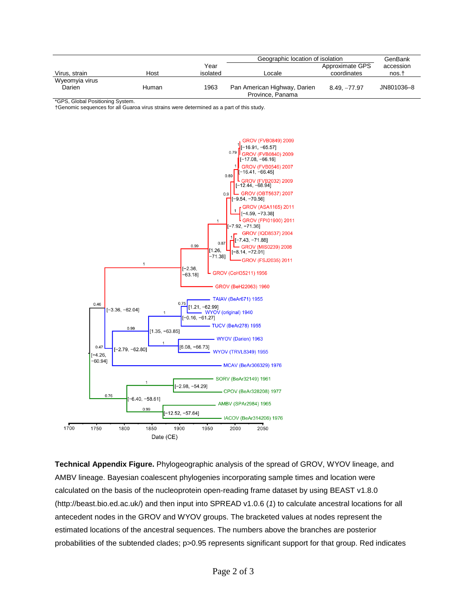|                |       |          | Geographic location of isolation                 |                 | GenBank    |
|----------------|-------|----------|--------------------------------------------------|-----------------|------------|
|                |       | Year     |                                                  | Approximate GPS | accession  |
| Virus, strain  | Host  | isolated | Locale                                           | coordinates     | nos.†      |
| Wyeomyia virus |       |          |                                                  |                 |            |
| Darien         | Human | 1963     | Pan American Highway, Darien<br>Province, Panama | $8.49. -77.97$  | JN801036-8 |

\*GPS, Global Positioning System.

†Genomic sequences for all Guaroa virus strains were determined as a part of this study.



**Technical Appendix Figure.** Phylogeographic analysis of the spread of GROV, WYOV lineage, and AMBV lineage. Bayesian coalescent phylogenies incorporating sample times and location were calculated on the basis of the nucleoprotein open-reading frame dataset by using BEAST v1.8.0 (http://beast.bio.ed.ac.uk/) and then input into SPREAD v1.0.6 (*1*) to calculate ancestral locations for all antecedent nodes in the GROV and WYOV groups. The bracketed values at nodes represent the estimated locations of the ancestral sequences. The numbers above the branches are posterior probabilities of the subtended clades; p>0.95 represents significant support for that group. Red indicates